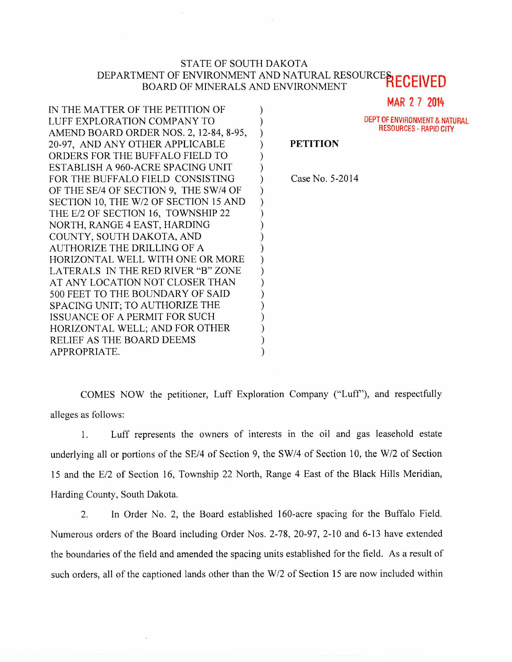## STATE OF SOUTH DAKOTA DEPARTMENT OF ENVIRONMENT AND NATURAL RESOURCES, BOARD OF MINERALS AND ENVIRONMENT **REGEIVED**

 $\mathcal{E}$  $\mathcal{E}$  $\mathcal{E}$  $\mathcal{E}$  $\mathcal{E}$  $\lambda$  $\mathcal{E}$  $\mathcal{E}$  $\mathcal{E}$ í

> $\lambda$  $\lambda$  $\mathcal{L}$  $\lambda$ J

> > $\mathcal{E}$

MAR 2 7 2014

DEPT OF ENVIRONMENT & NATURAL RESOURCES - RAPID CITY

## **PETITION**

Case No. 5-2014

IN THE MATTER OF THE PETITION OF LUFF EXPLORATION COMPANY TO AMEND BOARD ORDER NOS. 2, 12-84, 8-95, 20-97, AND ANY OTHER APPLICABLE ORDERS FOR THE BUFFALO FIELD TO ESTABLISH A 960-ACRE SPACING UNIT FOR THE BUFFALO FIELD CONSISTING OF THE SE/4 OF SECTION 9, THE SW/4 OF SECTION 10, THE W/2 OF SECTION 15 AND THE E/2 OF SECTION 16, TOWNSHIP 22 NORTH, RANGE 4 EAST, HARDING COUNTY, SOUTH DAKOTA, AND AUTHORIZE THE DRILLING OF A HORIZONTAL WELL WITH ONE OR MORE LATERALS IN THE RED RIVER "B" ZONE AT ANY LOCATION NOT CLOSER THAN 500 FEET TO THE BOUNDARY OF SAID SPACING UNIT; TO AUTHORIZE THE ISSUANCE OF A PERMIT FOR SUCH HORIZONTAL WELL; AND FOR OTHER RELIEF AS THE BOARD DEEMS APPROPRIATE.

COMES NOW the petitioner, Luff Exploration Company ("Luff'), and respectfully alleges as follows:

1. Luff represents the owners of interests in the oil and gas leasehold estate underlying all or portions of the SE/4 of Section 9, the SW/4 of Section 10, the W/2 of Section 15 and the E/2 of Section 16, Township 22 North, Range 4 East of the Black Hills Meridian, Harding County, South Dakota.

2. In Order No. 2, the Board established 160-acre spacing for the Buffalo Field. Numerous orders of the Board including Order Nos. 2-78, 20-97, 2-10 and 6-13 have extended the boundaries of the field and amended the spacing units established for the field. As a result of such orders, all of the captioned lands other than the W/2 of Section 15 are now included within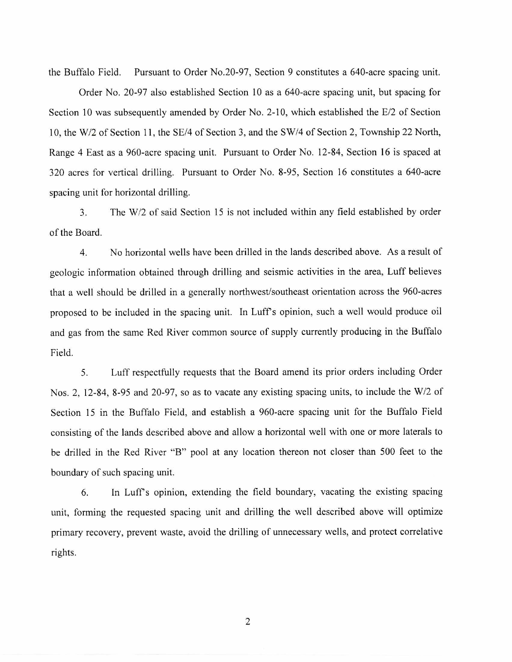the Buffalo Field. Pursuant to Order No.20-97, Section 9 constitutes a 640-acre spacing unit.

Order No. 20-97 also established Section 10 as a 640-acre spacing unit, but spacing for Section 10 was subsequently amended by Order No. 2-10, which established the E/2 of Section 10, the W/2 of Section 11, the SE/4 of Section 3, and the SW/4 of Section 2, Township 22 North, Range 4 East as a 960-acre spacing unit. Pursuant to Order No. 12-84, Section 16 is spaced at 320 acres for vertical drilling. Pursuant to Order No. 8-95, Section 16 constitutes a 640-acre spacing unit for horizontal drilling.

3. The W/2 of said Section 15 is not included within any field established by order of the Board.

4. No horizontal wells have been drilled in the lands described above. As a result of geologic information obtained through drilling and seismic activities in the area, Luff believes that a well should be drilled in a generally northwest/southeast orientation across the 960-acres proposed to be included in the spacing unit. In Luff's opinion, such a well would produce oil and gas from the same Red River common source of supply currently producing in the Buffalo Field.

5. Luff respectfully requests that the Board amend its prior orders including Order Nos. 2, 12-84, 8-95 and 20-97, so as to vacate any existing spacing units, to include the W/2 of Section 15 in the Buffalo Field, and establish a 960-acre spacing unit for the Buffalo Field consisting of the lands described above and allow a horizontal well with one or more laterals to be drilled in the Red River "B" pool at any location thereon not closer than 500 feet to the boundary of such spacing unit.

6. In Luff's opinion, extending the field boundary, vacating the existing spacing unit, forming the requested spacing unit and drilling the well described above will optimize primary recovery, prevent waste, avoid the drilling of unnecessary wells, and protect correlative rights.

2